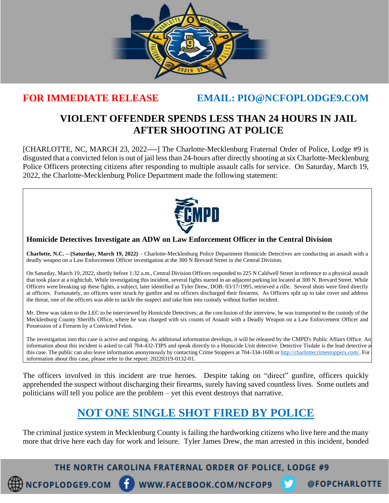

## **FOR IMMEDIATE RELEASE EMAIL: PIO@NCFOPLODGE9.COM**

## **VIOLENT OFFENDER SPENDS LESS THAN 24 HOURS IN JAIL AFTER SHOOTING AT POLICE**

[CHARLOTTE, NC, MARCH 23, 2022----] The Charlotte-Mecklenburg Fraternal Order of Police, Lodge #9 is disgusted that a convicted felon is out of jail less than 24-hours after directly shooting at six Charlotte-Mecklenburg Police Officers protecting citizens after responding to multiple assault calls for service. On Saturday, March 19, 2022, the Charlotte-Mecklenburg Police Department made the following statement:



## **Homicide Detectives Investigate an ADW on Law Enforcement Officer in the Central Division**

**Charlotte, N.C. – (Saturday, March 19, 2022)** – Charlotte-Mecklenburg Police Department Homicide Detectives are conducting an assault with a deadly weapon on a Law Enforcement Officer investigation at the 300 N Brevard Street in the Central Division.

On Saturday, March 19, 2022, shortly before 1:32 a.m., Central Division Officers responded to 225 N Caldwell Street in reference to a physical assault that took place at a nightclub. While investigating this incident, several fights started in an adjacent parking lot located at 300 N. Brevard Street. While Officers were breaking up these fights, a subject, later identified as Tyler Drew, DOB: 03/17/1995, retrieved a rifle. Several shots were fired directly at officers. Fortunately, no officers were struck by gunfire and no officers discharged their firearms. As Officers split up to take cover and address the threat, one of the officers was able to tackle the suspect and take him into custody without further incident.

Mr. Drew was taken to the LEC to be interviewed by Homicide Detectives; at the conclusion of the interview, he was transported to the custody of the Mecklenburg County Sheriffs Office, where he was charged with six counts of Assault with a Deadly Weapon on a Law Enforcement Officer and Possession of a Firearm by a Convicted Felon.

The investigation into this case is active and ongoing. As additional information develops, it will be released by the CMPD's Public Affairs Office. An information about this incident is asked to call 704-432-TIPS and speak directly to a Homicide Unit detective. Detective Tisdale is the lead detective as this case. The public can also leave information anonymously by contacting Crime Stoppers at 704-334-1600 o[r http://charlottecrimestoppers.com/.](http://charlottecrimestoppers.com/) For information about this case, please refer to the report: 20220319-0132-01.

The officers involved in this incident are true heroes. Despite taking on "direct" gunfire, officers quickly apprehended the suspect without discharging their firearms, surely having saved countless lives. Some outlets and politicians will tell you police are the problem – yet this event destroys that narrative.

## **NOT ONE SINGLE SHOT FIRED BY POLICE**

The criminal justice system in Mecklenburg County is failing the hardworking citizens who live here and the many more that drive here each day for work and leisure. Tyler James Drew, the man arrested in this incident, bonded

THE NORTH CAROLINA FRATERNAL ORDER OF POLICE, LODGE #9

WWW.FACEBOOK.COM/NCFOP9

@FOPCHARLOTTE

NCFOPLODGE9.COM